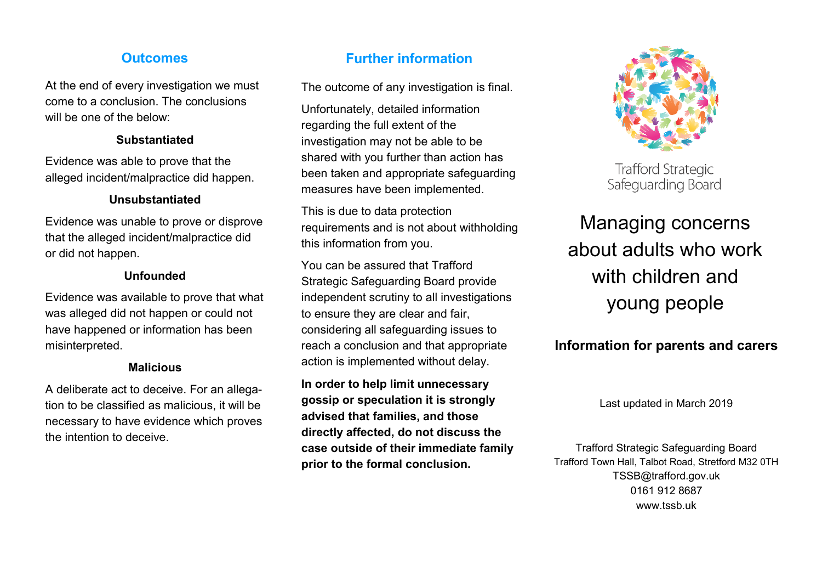At the end of every investigation we must come to a conclusion. The conclusions will be one of the below:

### **Substantiated**

Evidence was able to prove that the alleged incident/malpractice did happen.

## **Unsubstantiated**

Evidence was unable to prove or disprove that the alleged incident/malpractice did or did not happen.

## **Unfounded**

Evidence was available to prove that what was alleged did not happen or could not have happened or information has been misinterpreted.

## **Malicious**

A deliberate act to deceive. For an allegation to be classified as malicious, it will be necessary to have evidence which proves the intention to deceive.

# **Outcomes Further information**

The outcome of any investigation is final.

Unfortunately, detailed information regarding the full extent of the investigation may not be able to be shared with you further than action has been taken and appropriate safeguarding measures have been implemented.

This is due to data protection requirements and is not about withholding this information from you.

You can be assured that Trafford Strategic Safeguarding Board provide independent scrutiny to all investigations to ensure they are clear and fair, considering all safeguarding issues to reach a conclusion and that appropriate action is implemented without delay.

**In order to help limit unnecessary gossip or speculation it is strongly advised that families, and those directly affected, do not discuss the case outside of their immediate family prior to the formal conclusion.**



**Trafford Strategic** Safeguarding Board

Managing concerns about adults who work with children and young people

# **Information for parents and carers**

Last updated in March 2019

Trafford Strategic Safeguarding Board Trafford Town Hall, Talbot Road, Stretford M32 0TH TSSB@trafford.gov.uk 0161 912 8687 www.tssb.uk